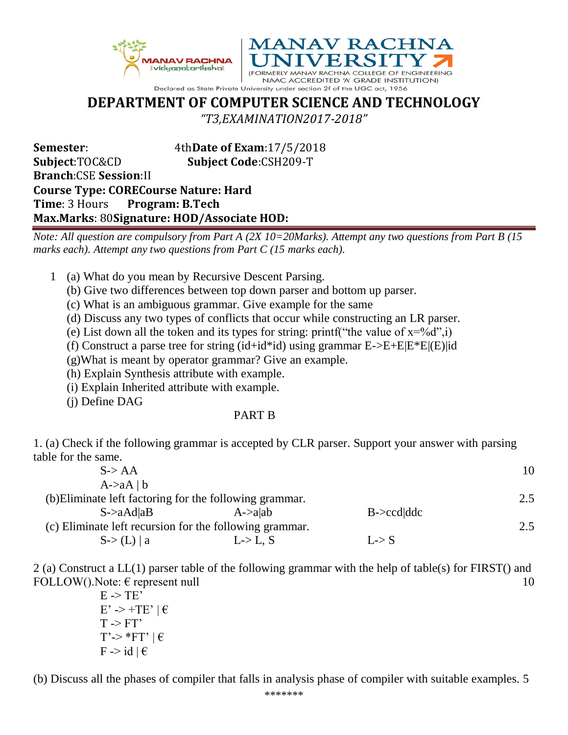



NAAC ACCREDITED 'A' GRADE INSTITUTION) Declared as State Private University under section 2f of the UGC act, 1956

## **DEPARTMENT OF COMPUTER SCIENCE AND TECHNOLOGY**

*"T3,EXAMINATION2017-2018"*

**Semester**: 4th**Date of Exam**:17/5/2018 **Subject**:TOC&CD **Subject Code**:CSH209-T **Branch**:CSE **Session**:II **Course Type: CORECourse Nature: Hard Time**: 3 Hours **Program: B.Tech Max.Marks**: 80**Signature: HOD/Associate HOD:**

*Note: All question are compulsory from Part A (2X 10=20Marks). Attempt any two questions from Part B (15 marks each). Attempt any two questions from Part C (15 marks each).* 

- 1 (a) What do you mean by Recursive Descent Parsing.
	- (b) Give two differences between top down parser and bottom up parser.
	- (c) What is an ambiguous grammar. Give example for the same

(d) Discuss any two types of conflicts that occur while constructing an LR parser.

- (e) List down all the token and its types for string: printf("the value of  $x=y_0'd$ ", i)
- (f) Construct a parse tree for string (id+id\*id) using grammar  $E\rightarrow E+E|E*E|$ (E)|id

(g)What is meant by operator grammar? Give an example.

- (h) Explain Synthesis attribute with example.
- (i) Explain Inherited attribute with example.

(j) Define DAG

## PART B

1. (a) Check if the following grammar is accepted by CLR parser. Support your answer with parsing table for the same.

| $S \rightarrow AA$                                      |                  |                | 10  |
|---------------------------------------------------------|------------------|----------------|-----|
| $A > aA \mid b$                                         |                  |                |     |
| (b) Eliminate left factoring for the following grammar. |                  |                | 2.5 |
| $S$ ->aAd aB                                            | $A\text{-}$ alab | $B > ccd$ dddc |     |
| (c) Eliminate left recursion for the following grammar. |                  |                | 2.5 |
| S > (L)   a                                             | $L > L$ , S      | L > S          |     |

2 (a) Construct a LL(1) parser table of the following grammar with the help of table(s) for FIRST() and FOLLOW(). Note:  $\epsilon$  represent null 10

 $E \rightarrow TE'$  $E' \rightarrow +TE' | \in$  $T \rightarrow FT'$  $T'$ -> \* $FT'$  |  $\in$  $F \rightarrow id \mid \theta$ 

(b) Discuss all the phases of compiler that falls in analysis phase of compiler with suitable examples. 5